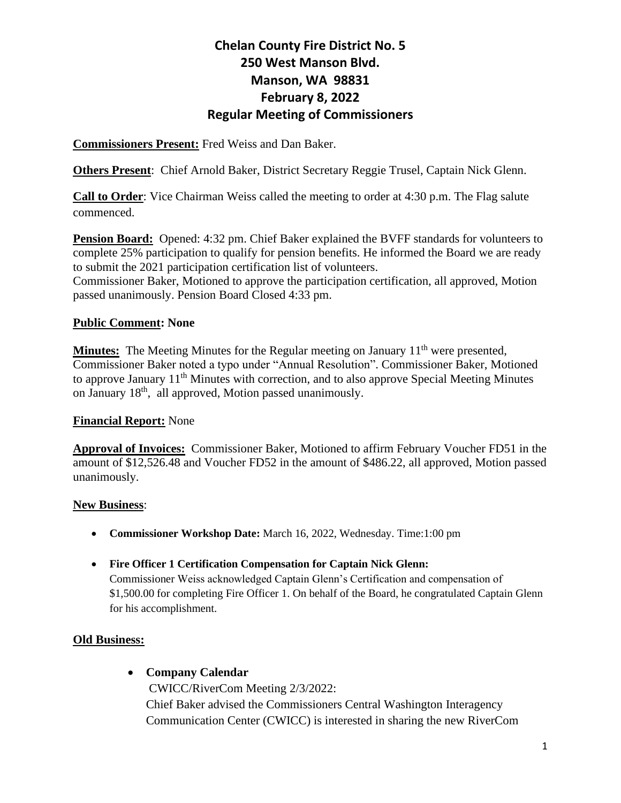**Commissioners Present:** Fred Weiss and Dan Baker.

**Others Present**: Chief Arnold Baker, District Secretary Reggie Trusel, Captain Nick Glenn.

**Call to Order**: Vice Chairman Weiss called the meeting to order at 4:30 p.m. The Flag salute commenced.

**Pension Board:** Opened: 4:32 pm. Chief Baker explained the BVFF standards for volunteers to complete 25% participation to qualify for pension benefits. He informed the Board we are ready to submit the 2021 participation certification list of volunteers.

Commissioner Baker, Motioned to approve the participation certification, all approved, Motion passed unanimously. Pension Board Closed 4:33 pm.

#### **Public Comment: None**

**Minutes:** The Meeting Minutes for the Regular meeting on January 11<sup>th</sup> were presented, Commissioner Baker noted a typo under "Annual Resolution". Commissioner Baker, Motioned to approve January 11<sup>th</sup> Minutes with correction, and to also approve Special Meeting Minutes on January 18th, all approved, Motion passed unanimously.

#### **Financial Report:** None

**Approval of Invoices:** Commissioner Baker, Motioned to affirm February Voucher FD51 in the amount of \$12,526.48 and Voucher FD52 in the amount of \$486.22, all approved, Motion passed unanimously.

#### **New Business**:

- **Commissioner Workshop Date:** March 16, 2022, Wednesday. Time:1:00 pm
- **Fire Officer 1 Certification Compensation for Captain Nick Glenn:**

Commissioner Weiss acknowledged Captain Glenn's Certification and compensation of \$1,500.00 for completing Fire Officer 1. On behalf of the Board, he congratulated Captain Glenn for his accomplishment.

#### **Old Business:**

#### • **Company Calendar**

CWICC/RiverCom Meeting 2/3/2022: Chief Baker advised the Commissioners Central Washington Interagency Communication Center (CWICC) is interested in sharing the new RiverCom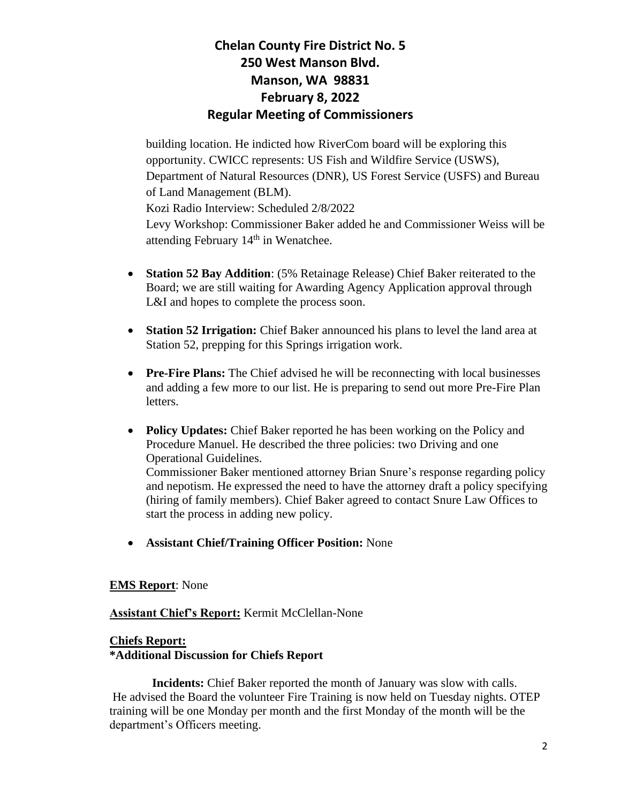building location. He indicted how RiverCom board will be exploring this opportunity. CWICC represents: US Fish and Wildfire Service (USWS), Department of Natural Resources (DNR), US Forest Service (USFS) and Bureau of Land Management (BLM). Kozi Radio Interview: Scheduled 2/8/2022

Levy Workshop: Commissioner Baker added he and Commissioner Weiss will be attending February  $14<sup>th</sup>$  in Wenatchee.

- **Station 52 Bay Addition**: (5% Retainage Release) Chief Baker reiterated to the Board; we are still waiting for Awarding Agency Application approval through L&I and hopes to complete the process soon.
- **Station 52 Irrigation:** Chief Baker announced his plans to level the land area at Station 52, prepping for this Springs irrigation work.
- **Pre-Fire Plans:** The Chief advised he will be reconnecting with local businesses and adding a few more to our list. He is preparing to send out more Pre-Fire Plan letters.
- **Policy Updates:** Chief Baker reported he has been working on the Policy and Procedure Manuel. He described the three policies: two Driving and one Operational Guidelines.

Commissioner Baker mentioned attorney Brian Snure's response regarding policy and nepotism. He expressed the need to have the attorney draft a policy specifying (hiring of family members). Chief Baker agreed to contact Snure Law Offices to start the process in adding new policy.

• **Assistant Chief/Training Officer Position:** None

#### **EMS Report**: None

#### **Assistant Chief's Report:** Kermit McClellan-None

#### **Chiefs Report:**

#### **\*Additional Discussion for Chiefs Report**

 **Incidents:** Chief Baker reported the month of January was slow with calls. He advised the Board the volunteer Fire Training is now held on Tuesday nights. OTEP training will be one Monday per month and the first Monday of the month will be the department's Officers meeting.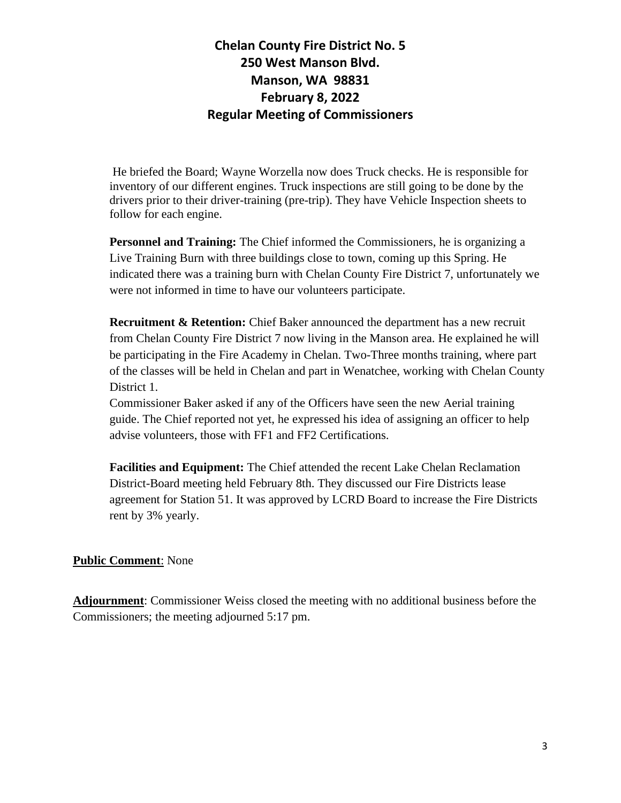He briefed the Board; Wayne Worzella now does Truck checks. He is responsible for inventory of our different engines. Truck inspections are still going to be done by the drivers prior to their driver-training (pre-trip). They have Vehicle Inspection sheets to follow for each engine.

**Personnel and Training:** The Chief informed the Commissioners, he is organizing a Live Training Burn with three buildings close to town, coming up this Spring. He indicated there was a training burn with Chelan County Fire District 7, unfortunately we were not informed in time to have our volunteers participate.

**Recruitment & Retention:** Chief Baker announced the department has a new recruit from Chelan County Fire District 7 now living in the Manson area. He explained he will be participating in the Fire Academy in Chelan. Two-Three months training, where part of the classes will be held in Chelan and part in Wenatchee, working with Chelan County District 1.

Commissioner Baker asked if any of the Officers have seen the new Aerial training guide. The Chief reported not yet, he expressed his idea of assigning an officer to help advise volunteers, those with FF1 and FF2 Certifications.

**Facilities and Equipment:** The Chief attended the recent Lake Chelan Reclamation District-Board meeting held February 8th. They discussed our Fire Districts lease agreement for Station 51. It was approved by LCRD Board to increase the Fire Districts rent by 3% yearly.

#### **Public Comment**: None

**Adjournment**: Commissioner Weiss closed the meeting with no additional business before the Commissioners; the meeting adjourned 5:17 pm.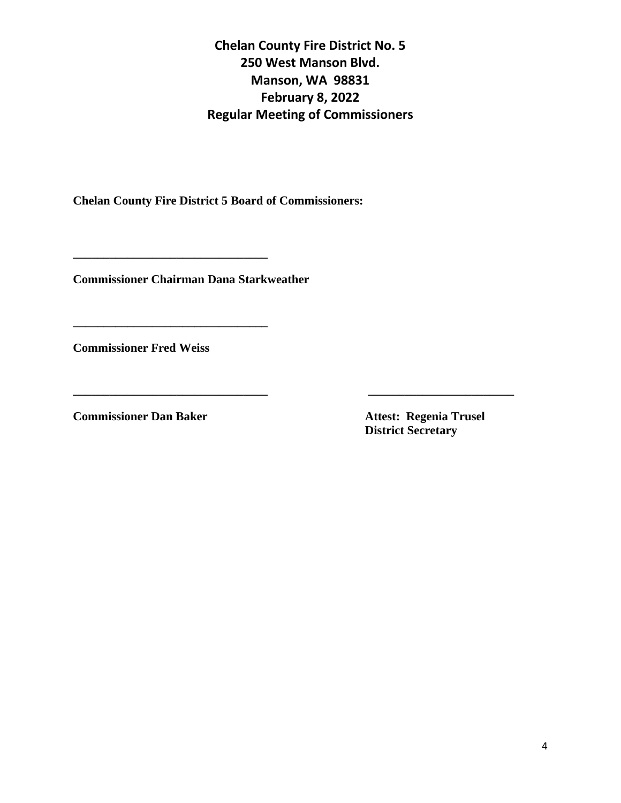**Chelan County Fire District 5 Board of Commissioners:**

**Commissioner Chairman Dana Starkweather**

**\_\_\_\_\_\_\_\_\_\_\_\_\_\_\_\_\_\_\_\_\_\_\_\_\_\_\_\_\_\_\_\_**

**\_\_\_\_\_\_\_\_\_\_\_\_\_\_\_\_\_\_\_\_\_\_\_\_\_\_\_\_\_\_\_\_**

**Commissioner Fred Weiss** 

**Commissioner Dan Baker Attest: Regenia Trusel** 

 **District Secretary**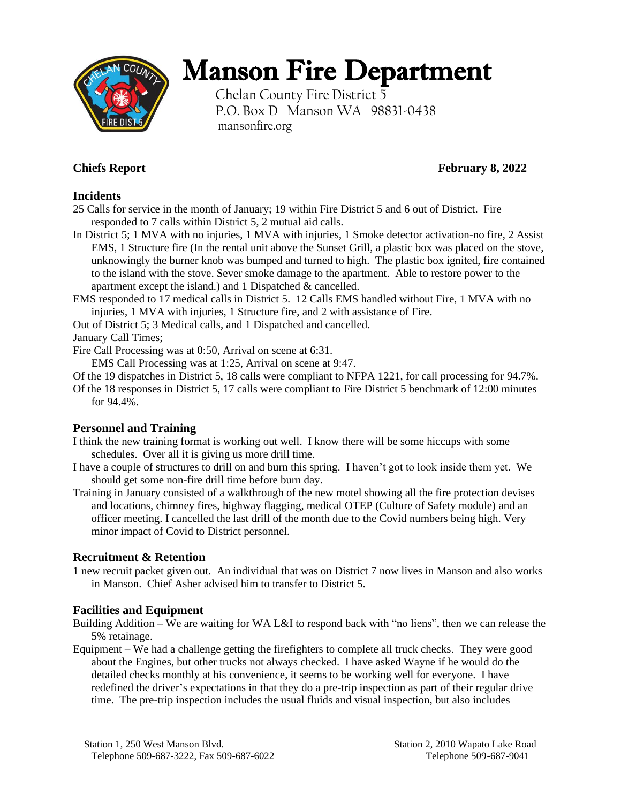

# Manson Fire Department

Chelan County Fire District 5 P.O. Box D Manson WA 98831-0438 mansonfire.org

## **Chiefs Report February 8, 2022**

#### **Incidents**

25 Calls for service in the month of January; 19 within Fire District 5 and 6 out of District. Fire responded to 7 calls within District 5, 2 mutual aid calls.

In District 5; 1 MVA with no injuries, 1 MVA with injuries, 1 Smoke detector activation-no fire, 2 Assist EMS, 1 Structure fire (In the rental unit above the Sunset Grill, a plastic box was placed on the stove, unknowingly the burner knob was bumped and turned to high. The plastic box ignited, fire contained to the island with the stove. Sever smoke damage to the apartment. Able to restore power to the apartment except the island.) and 1 Dispatched & cancelled.

EMS responded to 17 medical calls in District 5. 12 Calls EMS handled without Fire, 1 MVA with no injuries, 1 MVA with injuries, 1 Structure fire, and 2 with assistance of Fire.

Out of District 5; 3 Medical calls, and 1 Dispatched and cancelled.

January Call Times;

Fire Call Processing was at 0:50, Arrival on scene at 6:31.

EMS Call Processing was at 1:25, Arrival on scene at 9:47.

Of the 19 dispatches in District 5, 18 calls were compliant to NFPA 1221, for call processing for 94.7%.

Of the 18 responses in District 5, 17 calls were compliant to Fire District 5 benchmark of 12:00 minutes for 94.4%.

### **Personnel and Training**

I think the new training format is working out well. I know there will be some hiccups with some schedules. Over all it is giving us more drill time.

- I have a couple of structures to drill on and burn this spring. I haven't got to look inside them yet. We should get some non-fire drill time before burn day.
- Training in January consisted of a walkthrough of the new motel showing all the fire protection devises and locations, chimney fires, highway flagging, medical OTEP (Culture of Safety module) and an officer meeting. I cancelled the last drill of the month due to the Covid numbers being high. Very minor impact of Covid to District personnel.

### **Recruitment & Retention**

1 new recruit packet given out. An individual that was on District 7 now lives in Manson and also works in Manson. Chief Asher advised him to transfer to District 5.

### **Facilities and Equipment**

Building Addition – We are waiting for WA L&I to respond back with "no liens", then we can release the 5% retainage.

Equipment – We had a challenge getting the firefighters to complete all truck checks. They were good about the Engines, but other trucks not always checked. I have asked Wayne if he would do the detailed checks monthly at his convenience, it seems to be working well for everyone. I have redefined the driver's expectations in that they do a pre-trip inspection as part of their regular drive time. The pre-trip inspection includes the usual fluids and visual inspection, but also includes